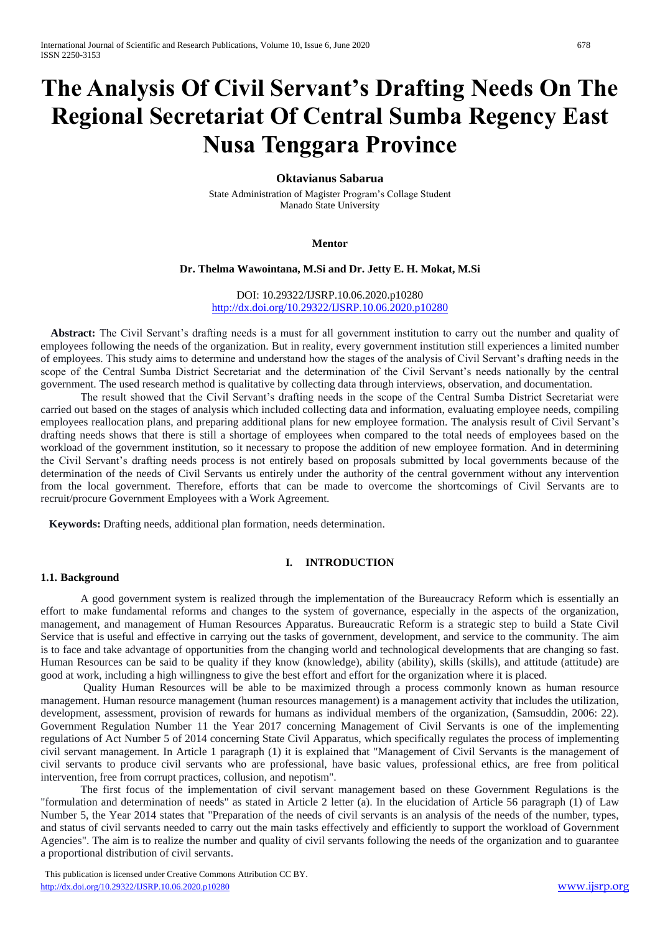# **The Analysis Of Civil Servant's Drafting Needs On The Regional Secretariat Of Central Sumba Regency East Nusa Tenggara Province**

## **Oktavianus Sabarua**

State Administration of Magister Program's Collage Student Manado State University

#### **Mentor**

#### **Dr. Thelma Wawointana, M.Si and Dr. Jetty E. H. Mokat, M.Si**

DOI: 10.29322/IJSRP.10.06.2020.p10280 <http://dx.doi.org/10.29322/IJSRP.10.06.2020.p10280>

**Abstract:** The Civil Servant's drafting needs is a must for all government institution to carry out the number and quality of employees following the needs of the organization. But in reality, every government institution still experiences a limited number of employees. This study aims to determine and understand how the stages of the analysis of Civil Servant's drafting needs in the scope of the Central Sumba District Secretariat and the determination of the Civil Servant's needs nationally by the central government. The used research method is qualitative by collecting data through interviews, observation, and documentation.

The result showed that the Civil Servant's drafting needs in the scope of the Central Sumba District Secretariat were carried out based on the stages of analysis which included collecting data and information, evaluating employee needs, compiling employees reallocation plans, and preparing additional plans for new employee formation. The analysis result of Civil Servant's drafting needs shows that there is still a shortage of employees when compared to the total needs of employees based on the workload of the government institution, so it necessary to propose the addition of new employee formation. And in determining the Civil Servant's drafting needs process is not entirely based on proposals submitted by local governments because of the determination of the needs of Civil Servants us entirely under the authority of the central government without any intervention from the local government. Therefore, efforts that can be made to overcome the shortcomings of Civil Servants are to recruit/procure Government Employees with a Work Agreement.

 **Keywords:** Drafting needs, additional plan formation, needs determination.

## **I. INTRODUCTION**

#### **1.1. Background**

A good government system is realized through the implementation of the Bureaucracy Reform which is essentially an effort to make fundamental reforms and changes to the system of governance, especially in the aspects of the organization, management, and management of Human Resources Apparatus. Bureaucratic Reform is a strategic step to build a State Civil Service that is useful and effective in carrying out the tasks of government, development, and service to the community. The aim is to face and take advantage of opportunities from the changing world and technological developments that are changing so fast. Human Resources can be said to be quality if they know (knowledge), ability (ability), skills (skills), and attitude (attitude) are good at work, including a high willingness to give the best effort and effort for the organization where it is placed.

Quality Human Resources will be able to be maximized through a process commonly known as human resource management. Human resource management (human resources management) is a management activity that includes the utilization, development, assessment, provision of rewards for humans as individual members of the organization, (Samsuddin, 2006: 22). Government Regulation Number 11 the Year 2017 concerning Management of Civil Servants is one of the implementing regulations of Act Number 5 of 2014 concerning State Civil Apparatus, which specifically regulates the process of implementing civil servant management. In Article 1 paragraph (1) it is explained that "Management of Civil Servants is the management of civil servants to produce civil servants who are professional, have basic values, professional ethics, are free from political intervention, free from corrupt practices, collusion, and nepotism".

The first focus of the implementation of civil servant management based on these Government Regulations is the "formulation and determination of needs" as stated in Article 2 letter (a). In the elucidation of Article 56 paragraph (1) of Law Number 5, the Year 2014 states that "Preparation of the needs of civil servants is an analysis of the needs of the number, types, and status of civil servants needed to carry out the main tasks effectively and efficiently to support the workload of Government Agencies". The aim is to realize the number and quality of civil servants following the needs of the organization and to guarantee a proportional distribution of civil servants.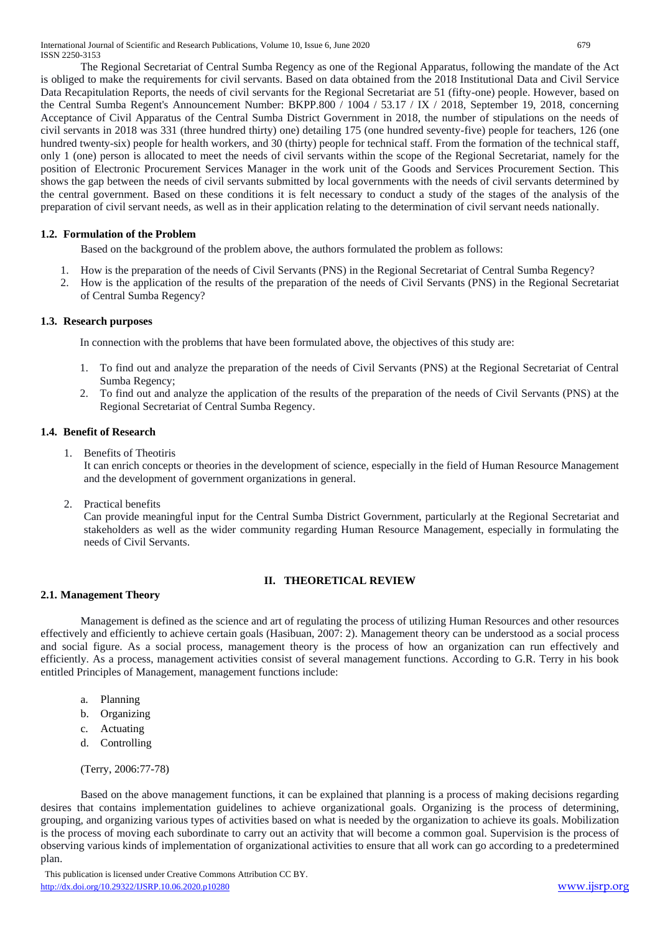The Regional Secretariat of Central Sumba Regency as one of the Regional Apparatus, following the mandate of the Act is obliged to make the requirements for civil servants. Based on data obtained from the 2018 Institutional Data and Civil Service Data Recapitulation Reports, the needs of civil servants for the Regional Secretariat are 51 (fifty-one) people. However, based on the Central Sumba Regent's Announcement Number: BKPP.800 / 1004 / 53.17 / IX / 2018, September 19, 2018, concerning Acceptance of Civil Apparatus of the Central Sumba District Government in 2018, the number of stipulations on the needs of civil servants in 2018 was 331 (three hundred thirty) one) detailing 175 (one hundred seventy-five) people for teachers, 126 (one hundred twenty-six) people for health workers, and 30 (thirty) people for technical staff. From the formation of the technical staff, only 1 (one) person is allocated to meet the needs of civil servants within the scope of the Regional Secretariat, namely for the position of Electronic Procurement Services Manager in the work unit of the Goods and Services Procurement Section. This shows the gap between the needs of civil servants submitted by local governments with the needs of civil servants determined by the central government. Based on these conditions it is felt necessary to conduct a study of the stages of the analysis of the preparation of civil servant needs, as well as in their application relating to the determination of civil servant needs nationally.

# **1.2. Formulation of the Problem**

Based on the background of the problem above, the authors formulated the problem as follows:

- 1. How is the preparation of the needs of Civil Servants (PNS) in the Regional Secretariat of Central Sumba Regency?
- 2. How is the application of the results of the preparation of the needs of Civil Servants (PNS) in the Regional Secretariat of Central Sumba Regency?

## **1.3. Research purposes**

In connection with the problems that have been formulated above, the objectives of this study are:

- 1. To find out and analyze the preparation of the needs of Civil Servants (PNS) at the Regional Secretariat of Central Sumba Regency;
- 2. To find out and analyze the application of the results of the preparation of the needs of Civil Servants (PNS) at the Regional Secretariat of Central Sumba Regency.

## **1.4. Benefit of Research**

1. Benefits of Theotiris

It can enrich concepts or theories in the development of science, especially in the field of Human Resource Management and the development of government organizations in general.

2. Practical benefits

Can provide meaningful input for the Central Sumba District Government, particularly at the Regional Secretariat and stakeholders as well as the wider community regarding Human Resource Management, especially in formulating the needs of Civil Servants.

# **II. THEORETICAL REVIEW**

#### **2.1. Management Theory**

Management is defined as the science and art of regulating the process of utilizing Human Resources and other resources effectively and efficiently to achieve certain goals (Hasibuan, 2007: 2). Management theory can be understood as a social process and social figure. As a social process, management theory is the process of how an organization can run effectively and efficiently. As a process, management activities consist of several management functions. According to G.R. Terry in his book entitled Principles of Management, management functions include:

- a. Planning
- b. Organizing
- c. Actuating
- d. Controlling

(Terry, 2006:77-78)

Based on the above management functions, it can be explained that planning is a process of making decisions regarding desires that contains implementation guidelines to achieve organizational goals. Organizing is the process of determining, grouping, and organizing various types of activities based on what is needed by the organization to achieve its goals. Mobilization is the process of moving each subordinate to carry out an activity that will become a common goal. Supervision is the process of observing various kinds of implementation of organizational activities to ensure that all work can go according to a predetermined plan.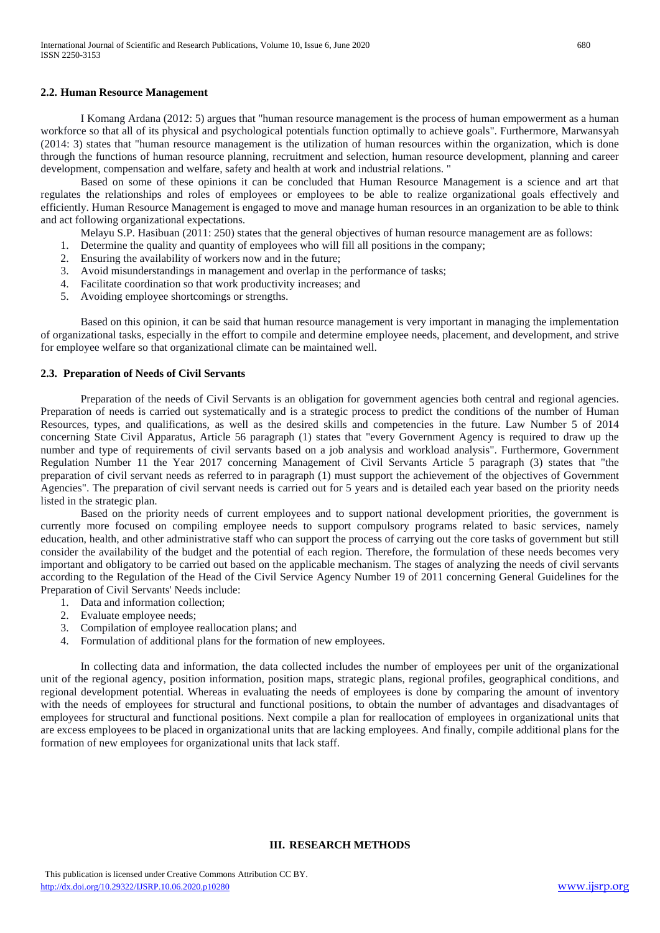## **2.2. Human Resource Management**

I Komang Ardana (2012: 5) argues that "human resource management is the process of human empowerment as a human workforce so that all of its physical and psychological potentials function optimally to achieve goals". Furthermore, Marwansyah (2014: 3) states that "human resource management is the utilization of human resources within the organization, which is done through the functions of human resource planning, recruitment and selection, human resource development, planning and career development, compensation and welfare, safety and health at work and industrial relations. "

Based on some of these opinions it can be concluded that Human Resource Management is a science and art that regulates the relationships and roles of employees or employees to be able to realize organizational goals effectively and efficiently. Human Resource Management is engaged to move and manage human resources in an organization to be able to think and act following organizational expectations.

Melayu S.P. Hasibuan (2011: 250) states that the general objectives of human resource management are as follows:

- 1. Determine the quality and quantity of employees who will fill all positions in the company;
- 2. Ensuring the availability of workers now and in the future;
- 3. Avoid misunderstandings in management and overlap in the performance of tasks;
- 4. Facilitate coordination so that work productivity increases; and
- 5. Avoiding employee shortcomings or strengths.

Based on this opinion, it can be said that human resource management is very important in managing the implementation of organizational tasks, especially in the effort to compile and determine employee needs, placement, and development, and strive for employee welfare so that organizational climate can be maintained well.

## **2.3. Preparation of Needs of Civil Servants**

Preparation of the needs of Civil Servants is an obligation for government agencies both central and regional agencies. Preparation of needs is carried out systematically and is a strategic process to predict the conditions of the number of Human Resources, types, and qualifications, as well as the desired skills and competencies in the future. Law Number 5 of 2014 concerning State Civil Apparatus, Article 56 paragraph (1) states that "every Government Agency is required to draw up the number and type of requirements of civil servants based on a job analysis and workload analysis". Furthermore, Government Regulation Number 11 the Year 2017 concerning Management of Civil Servants Article 5 paragraph (3) states that "the preparation of civil servant needs as referred to in paragraph (1) must support the achievement of the objectives of Government Agencies". The preparation of civil servant needs is carried out for 5 years and is detailed each year based on the priority needs listed in the strategic plan.

Based on the priority needs of current employees and to support national development priorities, the government is currently more focused on compiling employee needs to support compulsory programs related to basic services, namely education, health, and other administrative staff who can support the process of carrying out the core tasks of government but still consider the availability of the budget and the potential of each region. Therefore, the formulation of these needs becomes very important and obligatory to be carried out based on the applicable mechanism. The stages of analyzing the needs of civil servants according to the Regulation of the Head of the Civil Service Agency Number 19 of 2011 concerning General Guidelines for the Preparation of Civil Servants' Needs include:

- 1. Data and information collection;
- 2. Evaluate employee needs;
- 3. Compilation of employee reallocation plans; and
- 4. Formulation of additional plans for the formation of new employees.

In collecting data and information, the data collected includes the number of employees per unit of the organizational unit of the regional agency, position information, position maps, strategic plans, regional profiles, geographical conditions, and regional development potential. Whereas in evaluating the needs of employees is done by comparing the amount of inventory with the needs of employees for structural and functional positions, to obtain the number of advantages and disadvantages of employees for structural and functional positions. Next compile a plan for reallocation of employees in organizational units that are excess employees to be placed in organizational units that are lacking employees. And finally, compile additional plans for the formation of new employees for organizational units that lack staff.

## **III. RESEARCH METHODS**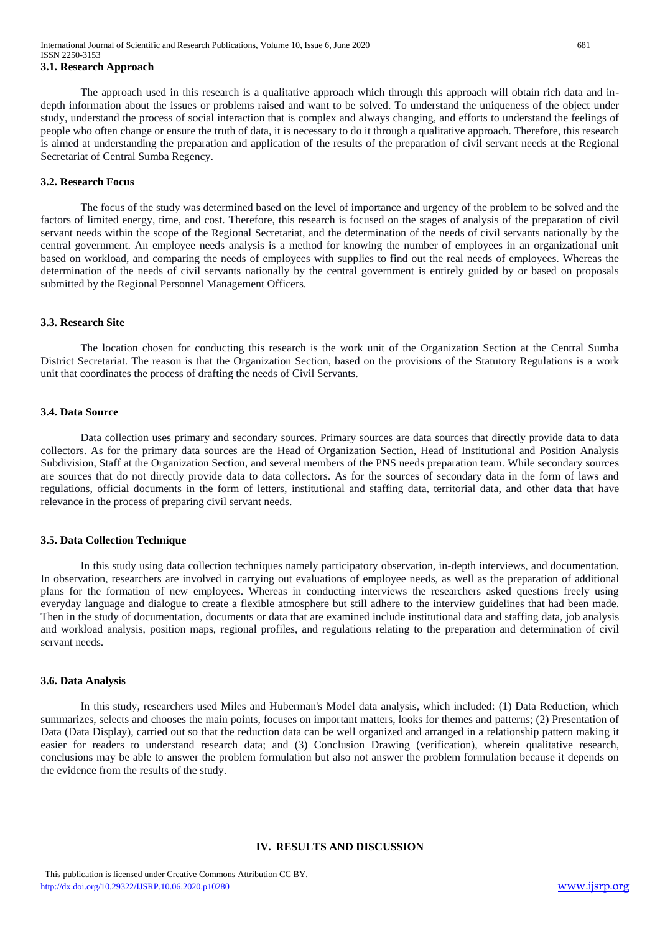# **3.1. Research Approach**

The approach used in this research is a qualitative approach which through this approach will obtain rich data and indepth information about the issues or problems raised and want to be solved. To understand the uniqueness of the object under study, understand the process of social interaction that is complex and always changing, and efforts to understand the feelings of people who often change or ensure the truth of data, it is necessary to do it through a qualitative approach. Therefore, this research is aimed at understanding the preparation and application of the results of the preparation of civil servant needs at the Regional Secretariat of Central Sumba Regency.

#### **3.2. Research Focus**

The focus of the study was determined based on the level of importance and urgency of the problem to be solved and the factors of limited energy, time, and cost. Therefore, this research is focused on the stages of analysis of the preparation of civil servant needs within the scope of the Regional Secretariat, and the determination of the needs of civil servants nationally by the central government. An employee needs analysis is a method for knowing the number of employees in an organizational unit based on workload, and comparing the needs of employees with supplies to find out the real needs of employees. Whereas the determination of the needs of civil servants nationally by the central government is entirely guided by or based on proposals submitted by the Regional Personnel Management Officers.

#### **3.3. Research Site**

The location chosen for conducting this research is the work unit of the Organization Section at the Central Sumba District Secretariat. The reason is that the Organization Section, based on the provisions of the Statutory Regulations is a work unit that coordinates the process of drafting the needs of Civil Servants.

#### **3.4. Data Source**

Data collection uses primary and secondary sources. Primary sources are data sources that directly provide data to data collectors. As for the primary data sources are the Head of Organization Section, Head of Institutional and Position Analysis Subdivision, Staff at the Organization Section, and several members of the PNS needs preparation team. While secondary sources are sources that do not directly provide data to data collectors. As for the sources of secondary data in the form of laws and regulations, official documents in the form of letters, institutional and staffing data, territorial data, and other data that have relevance in the process of preparing civil servant needs.

#### **3.5. Data Collection Technique**

In this study using data collection techniques namely participatory observation, in-depth interviews, and documentation. In observation, researchers are involved in carrying out evaluations of employee needs, as well as the preparation of additional plans for the formation of new employees. Whereas in conducting interviews the researchers asked questions freely using everyday language and dialogue to create a flexible atmosphere but still adhere to the interview guidelines that had been made. Then in the study of documentation, documents or data that are examined include institutional data and staffing data, job analysis and workload analysis, position maps, regional profiles, and regulations relating to the preparation and determination of civil servant needs.

#### **3.6. Data Analysis**

In this study, researchers used Miles and Huberman's Model data analysis, which included: (1) Data Reduction, which summarizes, selects and chooses the main points, focuses on important matters, looks for themes and patterns; (2) Presentation of Data (Data Display), carried out so that the reduction data can be well organized and arranged in a relationship pattern making it easier for readers to understand research data; and (3) Conclusion Drawing (verification), wherein qualitative research, conclusions may be able to answer the problem formulation but also not answer the problem formulation because it depends on the evidence from the results of the study.

## **IV. RESULTS AND DISCUSSION**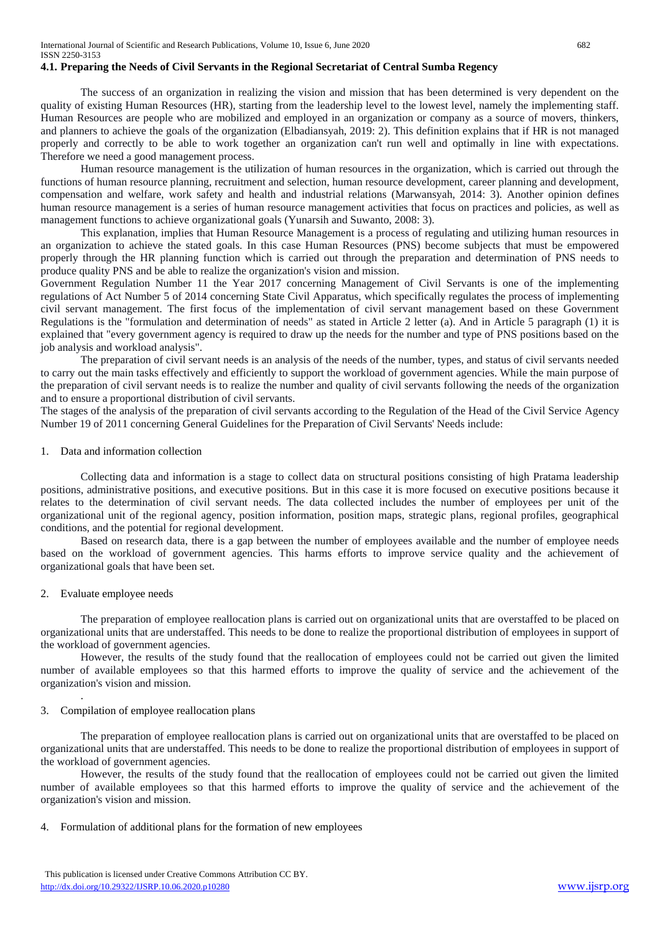# **4.1. Preparing the Needs of Civil Servants in the Regional Secretariat of Central Sumba Regency**

The success of an organization in realizing the vision and mission that has been determined is very dependent on the quality of existing Human Resources (HR), starting from the leadership level to the lowest level, namely the implementing staff. Human Resources are people who are mobilized and employed in an organization or company as a source of movers, thinkers, and planners to achieve the goals of the organization (Elbadiansyah, 2019: 2). This definition explains that if HR is not managed properly and correctly to be able to work together an organization can't run well and optimally in line with expectations. Therefore we need a good management process.

Human resource management is the utilization of human resources in the organization, which is carried out through the functions of human resource planning, recruitment and selection, human resource development, career planning and development, compensation and welfare, work safety and health and industrial relations (Marwansyah, 2014: 3). Another opinion defines human resource management is a series of human resource management activities that focus on practices and policies, as well as management functions to achieve organizational goals (Yunarsih and Suwanto, 2008: 3).

This explanation, implies that Human Resource Management is a process of regulating and utilizing human resources in an organization to achieve the stated goals. In this case Human Resources (PNS) become subjects that must be empowered properly through the HR planning function which is carried out through the preparation and determination of PNS needs to produce quality PNS and be able to realize the organization's vision and mission.

Government Regulation Number 11 the Year 2017 concerning Management of Civil Servants is one of the implementing regulations of Act Number 5 of 2014 concerning State Civil Apparatus, which specifically regulates the process of implementing civil servant management. The first focus of the implementation of civil servant management based on these Government Regulations is the "formulation and determination of needs" as stated in Article 2 letter (a). And in Article 5 paragraph (1) it is explained that "every government agency is required to draw up the needs for the number and type of PNS positions based on the job analysis and workload analysis".

The preparation of civil servant needs is an analysis of the needs of the number, types, and status of civil servants needed to carry out the main tasks effectively and efficiently to support the workload of government agencies. While the main purpose of the preparation of civil servant needs is to realize the number and quality of civil servants following the needs of the organization and to ensure a proportional distribution of civil servants.

The stages of the analysis of the preparation of civil servants according to the Regulation of the Head of the Civil Service Agency Number 19 of 2011 concerning General Guidelines for the Preparation of Civil Servants' Needs include:

#### 1. Data and information collection

Collecting data and information is a stage to collect data on structural positions consisting of high Pratama leadership positions, administrative positions, and executive positions. But in this case it is more focused on executive positions because it relates to the determination of civil servant needs. The data collected includes the number of employees per unit of the organizational unit of the regional agency, position information, position maps, strategic plans, regional profiles, geographical conditions, and the potential for regional development.

Based on research data, there is a gap between the number of employees available and the number of employee needs based on the workload of government agencies. This harms efforts to improve service quality and the achievement of organizational goals that have been set.

#### 2. Evaluate employee needs

.

The preparation of employee reallocation plans is carried out on organizational units that are overstaffed to be placed on organizational units that are understaffed. This needs to be done to realize the proportional distribution of employees in support of the workload of government agencies.

However, the results of the study found that the reallocation of employees could not be carried out given the limited number of available employees so that this harmed efforts to improve the quality of service and the achievement of the organization's vision and mission.

## 3. Compilation of employee reallocation plans

The preparation of employee reallocation plans is carried out on organizational units that are overstaffed to be placed on organizational units that are understaffed. This needs to be done to realize the proportional distribution of employees in support of the workload of government agencies.

However, the results of the study found that the reallocation of employees could not be carried out given the limited number of available employees so that this harmed efforts to improve the quality of service and the achievement of the organization's vision and mission.

4. Formulation of additional plans for the formation of new employees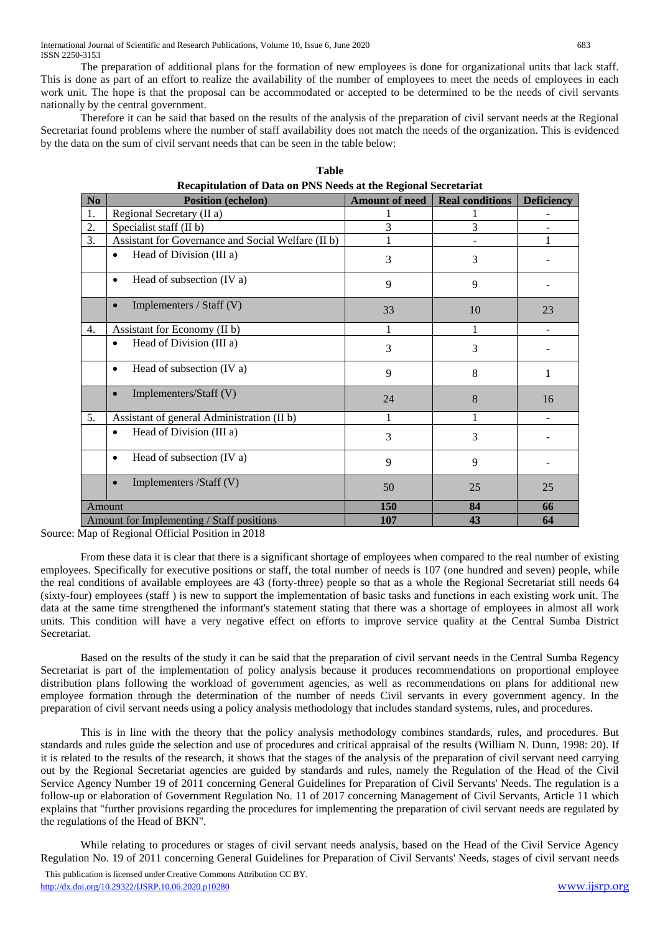The preparation of additional plans for the formation of new employees is done for organizational units that lack staff. This is done as part of an effort to realize the availability of the number of employees to meet the needs of employees in each work unit. The hope is that the proposal can be accommodated or accepted to be determined to be the needs of civil servants nationally by the central government.

Therefore it can be said that based on the results of the analysis of the preparation of civil servant needs at the Regional Secretariat found problems where the number of staff availability does not match the needs of the organization. This is evidenced by the data on the sum of civil servant needs that can be seen in the table below:

| Recapitulation of Data on PNS Needs at the Regional Secretariat |                                                    |                       |                        |                   |  |
|-----------------------------------------------------------------|----------------------------------------------------|-----------------------|------------------------|-------------------|--|
| No                                                              | <b>Position (echelon)</b>                          | <b>Amount of need</b> | <b>Real conditions</b> | <b>Deficiency</b> |  |
| 1.                                                              | Regional Secretary (II a)                          |                       |                        |                   |  |
| 2.                                                              | Specialist staff (II b)                            | 3                     | 3                      |                   |  |
| 3.                                                              | Assistant for Governance and Social Welfare (II b) |                       |                        |                   |  |
|                                                                 | Head of Division (III a)                           | 3                     | 3                      |                   |  |
|                                                                 | Head of subsection (IV a)<br>$\bullet$             | 9                     | 9                      |                   |  |
|                                                                 | Implementers / Staff (V)<br>$\bullet$              | 33                    | 10                     | 23                |  |
| $\overline{4}$ .                                                | Assistant for Economy (II b)                       | 1                     |                        |                   |  |
|                                                                 | Head of Division (III a)                           | 3                     | 3                      |                   |  |
|                                                                 | Head of subsection (IV a)<br>$\bullet$             | 9                     | 8                      |                   |  |
|                                                                 | Implementers/Staff (V)                             | 24                    | 8                      | 16                |  |
| 5.                                                              | Assistant of general Administration (II b)         |                       |                        |                   |  |
|                                                                 | Head of Division (III a)<br>$\bullet$              | 3                     | 3                      |                   |  |
|                                                                 | Head of subsection (IV a)<br>$\bullet$             | 9                     | 9                      |                   |  |
|                                                                 | Implementers /Staff (V)<br>$\bullet$               | 50                    | 25                     | 25                |  |
| Amount                                                          |                                                    | 150                   | 84                     | 66                |  |
| Amount for Implementing / Staff positions                       |                                                    | 107                   | 43                     | 64                |  |

| Table                                                           |  |
|-----------------------------------------------------------------|--|
| Recapitulation of Data on PNS Needs at the Regional Secretariat |  |

Source: Map of Regional Official Position in 2018

From these data it is clear that there is a significant shortage of employees when compared to the real number of existing employees. Specifically for executive positions or staff, the total number of needs is 107 (one hundred and seven) people, while the real conditions of available employees are 43 (forty-three) people so that as a whole the Regional Secretariat still needs 64 (sixty-four) employees (staff ) is new to support the implementation of basic tasks and functions in each existing work unit. The data at the same time strengthened the informant's statement stating that there was a shortage of employees in almost all work units. This condition will have a very negative effect on efforts to improve service quality at the Central Sumba District Secretariat.

Based on the results of the study it can be said that the preparation of civil servant needs in the Central Sumba Regency Secretariat is part of the implementation of policy analysis because it produces recommendations on proportional employee distribution plans following the workload of government agencies, as well as recommendations on plans for additional new employee formation through the determination of the number of needs Civil servants in every government agency. In the preparation of civil servant needs using a policy analysis methodology that includes standard systems, rules, and procedures.

This is in line with the theory that the policy analysis methodology combines standards, rules, and procedures. But standards and rules guide the selection and use of procedures and critical appraisal of the results (William N. Dunn, 1998: 20). If it is related to the results of the research, it shows that the stages of the analysis of the preparation of civil servant need carrying out by the Regional Secretariat agencies are guided by standards and rules, namely the Regulation of the Head of the Civil Service Agency Number 19 of 2011 concerning General Guidelines for Preparation of Civil Servants' Needs. The regulation is a follow-up or elaboration of Government Regulation No. 11 of 2017 concerning Management of Civil Servants, Article 11 which explains that "further provisions regarding the procedures for implementing the preparation of civil servant needs are regulated by the regulations of the Head of BKN".

While relating to procedures or stages of civil servant needs analysis, based on the Head of the Civil Service Agency Regulation No. 19 of 2011 concerning General Guidelines for Preparation of Civil Servants' Needs, stages of civil servant needs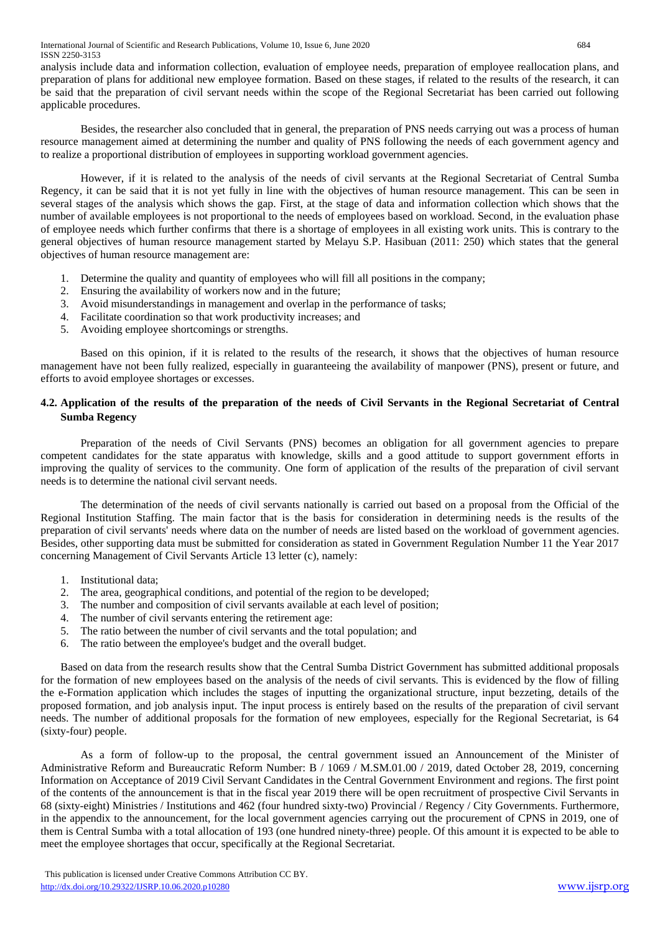analysis include data and information collection, evaluation of employee needs, preparation of employee reallocation plans, and preparation of plans for additional new employee formation. Based on these stages, if related to the results of the research, it can be said that the preparation of civil servant needs within the scope of the Regional Secretariat has been carried out following applicable procedures.

Besides, the researcher also concluded that in general, the preparation of PNS needs carrying out was a process of human resource management aimed at determining the number and quality of PNS following the needs of each government agency and to realize a proportional distribution of employees in supporting workload government agencies.

However, if it is related to the analysis of the needs of civil servants at the Regional Secretariat of Central Sumba Regency, it can be said that it is not yet fully in line with the objectives of human resource management. This can be seen in several stages of the analysis which shows the gap. First, at the stage of data and information collection which shows that the number of available employees is not proportional to the needs of employees based on workload. Second, in the evaluation phase of employee needs which further confirms that there is a shortage of employees in all existing work units. This is contrary to the general objectives of human resource management started by Melayu S.P. Hasibuan (2011: 250) which states that the general objectives of human resource management are:

- 1. Determine the quality and quantity of employees who will fill all positions in the company;
- 2. Ensuring the availability of workers now and in the future;
- 3. Avoid misunderstandings in management and overlap in the performance of tasks;
- 4. Facilitate coordination so that work productivity increases; and
- 5. Avoiding employee shortcomings or strengths.

Based on this opinion, if it is related to the results of the research, it shows that the objectives of human resource management have not been fully realized, especially in guaranteeing the availability of manpower (PNS), present or future, and efforts to avoid employee shortages or excesses.

# **4.2. Application of the results of the preparation of the needs of Civil Servants in the Regional Secretariat of Central Sumba Regency**

Preparation of the needs of Civil Servants (PNS) becomes an obligation for all government agencies to prepare competent candidates for the state apparatus with knowledge, skills and a good attitude to support government efforts in improving the quality of services to the community. One form of application of the results of the preparation of civil servant needs is to determine the national civil servant needs.

The determination of the needs of civil servants nationally is carried out based on a proposal from the Official of the Regional Institution Staffing. The main factor that is the basis for consideration in determining needs is the results of the preparation of civil servants' needs where data on the number of needs are listed based on the workload of government agencies. Besides, other supporting data must be submitted for consideration as stated in Government Regulation Number 11 the Year 2017 concerning Management of Civil Servants Article 13 letter (c), namely:

- 1. Institutional data;
- 2. The area, geographical conditions, and potential of the region to be developed;
- 3. The number and composition of civil servants available at each level of position;
- 4. The number of civil servants entering the retirement age:
- 5. The ratio between the number of civil servants and the total population; and
- 6. The ratio between the employee's budget and the overall budget.

Based on data from the research results show that the Central Sumba District Government has submitted additional proposals for the formation of new employees based on the analysis of the needs of civil servants. This is evidenced by the flow of filling the e-Formation application which includes the stages of inputting the organizational structure, input bezzeting, details of the proposed formation, and job analysis input. The input process is entirely based on the results of the preparation of civil servant needs. The number of additional proposals for the formation of new employees, especially for the Regional Secretariat, is 64 (sixty-four) people.

As a form of follow-up to the proposal, the central government issued an Announcement of the Minister of Administrative Reform and Bureaucratic Reform Number: B / 1069 / M.SM.01.00 / 2019, dated October 28, 2019, concerning Information on Acceptance of 2019 Civil Servant Candidates in the Central Government Environment and regions. The first point of the contents of the announcement is that in the fiscal year 2019 there will be open recruitment of prospective Civil Servants in 68 (sixty-eight) Ministries / Institutions and 462 (four hundred sixty-two) Provincial / Regency / City Governments. Furthermore, in the appendix to the announcement, for the local government agencies carrying out the procurement of CPNS in 2019, one of them is Central Sumba with a total allocation of 193 (one hundred ninety-three) people. Of this amount it is expected to be able to meet the employee shortages that occur, specifically at the Regional Secretariat.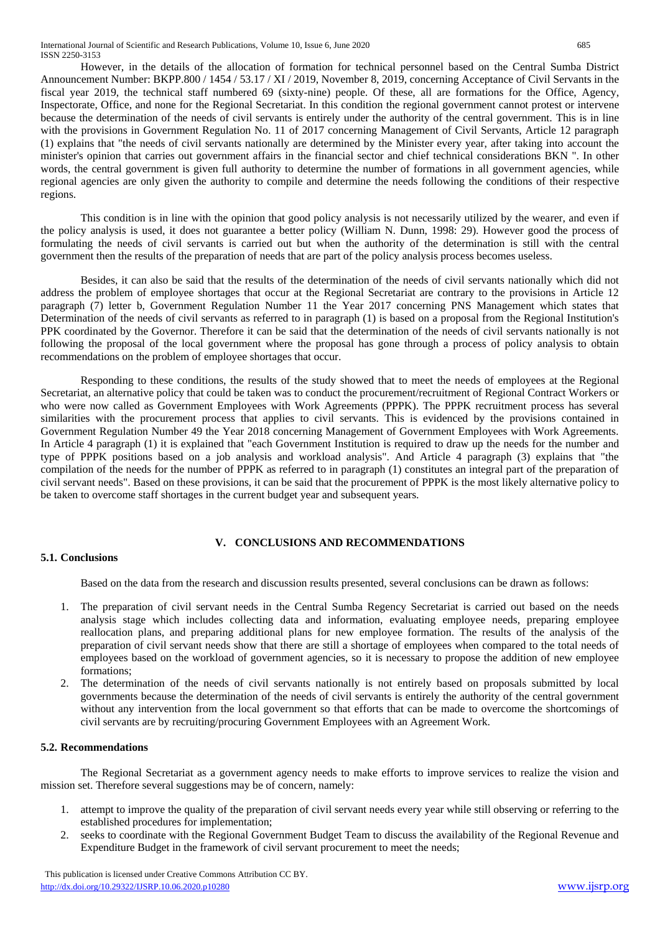However, in the details of the allocation of formation for technical personnel based on the Central Sumba District Announcement Number: BKPP.800 / 1454 / 53.17 / XI / 2019, November 8, 2019, concerning Acceptance of Civil Servants in the fiscal year 2019, the technical staff numbered 69 (sixty-nine) people. Of these, all are formations for the Office, Agency, Inspectorate, Office, and none for the Regional Secretariat. In this condition the regional government cannot protest or intervene because the determination of the needs of civil servants is entirely under the authority of the central government. This is in line with the provisions in Government Regulation No. 11 of 2017 concerning Management of Civil Servants, Article 12 paragraph (1) explains that "the needs of civil servants nationally are determined by the Minister every year, after taking into account the minister's opinion that carries out government affairs in the financial sector and chief technical considerations BKN ". In other words, the central government is given full authority to determine the number of formations in all government agencies, while regional agencies are only given the authority to compile and determine the needs following the conditions of their respective regions.

This condition is in line with the opinion that good policy analysis is not necessarily utilized by the wearer, and even if the policy analysis is used, it does not guarantee a better policy (William N. Dunn, 1998: 29). However good the process of formulating the needs of civil servants is carried out but when the authority of the determination is still with the central government then the results of the preparation of needs that are part of the policy analysis process becomes useless.

Besides, it can also be said that the results of the determination of the needs of civil servants nationally which did not address the problem of employee shortages that occur at the Regional Secretariat are contrary to the provisions in Article 12 paragraph (7) letter b, Government Regulation Number 11 the Year 2017 concerning PNS Management which states that Determination of the needs of civil servants as referred to in paragraph (1) is based on a proposal from the Regional Institution's PPK coordinated by the Governor. Therefore it can be said that the determination of the needs of civil servants nationally is not following the proposal of the local government where the proposal has gone through a process of policy analysis to obtain recommendations on the problem of employee shortages that occur.

Responding to these conditions, the results of the study showed that to meet the needs of employees at the Regional Secretariat, an alternative policy that could be taken was to conduct the procurement/recruitment of Regional Contract Workers or who were now called as Government Employees with Work Agreements (PPPK). The PPPK recruitment process has several similarities with the procurement process that applies to civil servants. This is evidenced by the provisions contained in Government Regulation Number 49 the Year 2018 concerning Management of Government Employees with Work Agreements. In Article 4 paragraph (1) it is explained that "each Government Institution is required to draw up the needs for the number and type of PPPK positions based on a job analysis and workload analysis". And Article 4 paragraph (3) explains that "the compilation of the needs for the number of PPPK as referred to in paragraph (1) constitutes an integral part of the preparation of civil servant needs". Based on these provisions, it can be said that the procurement of PPPK is the most likely alternative policy to be taken to overcome staff shortages in the current budget year and subsequent years.

# **V. CONCLUSIONS AND RECOMMENDATIONS**

# **5.1. Conclusions**

Based on the data from the research and discussion results presented, several conclusions can be drawn as follows:

- 1. The preparation of civil servant needs in the Central Sumba Regency Secretariat is carried out based on the needs analysis stage which includes collecting data and information, evaluating employee needs, preparing employee reallocation plans, and preparing additional plans for new employee formation. The results of the analysis of the preparation of civil servant needs show that there are still a shortage of employees when compared to the total needs of employees based on the workload of government agencies, so it is necessary to propose the addition of new employee formations;
- 2. The determination of the needs of civil servants nationally is not entirely based on proposals submitted by local governments because the determination of the needs of civil servants is entirely the authority of the central government without any intervention from the local government so that efforts that can be made to overcome the shortcomings of civil servants are by recruiting/procuring Government Employees with an Agreement Work.

# **5.2. Recommendations**

The Regional Secretariat as a government agency needs to make efforts to improve services to realize the vision and mission set. Therefore several suggestions may be of concern, namely:

- 1. attempt to improve the quality of the preparation of civil servant needs every year while still observing or referring to the established procedures for implementation;
- 2. seeks to coordinate with the Regional Government Budget Team to discuss the availability of the Regional Revenue and Expenditure Budget in the framework of civil servant procurement to meet the needs;